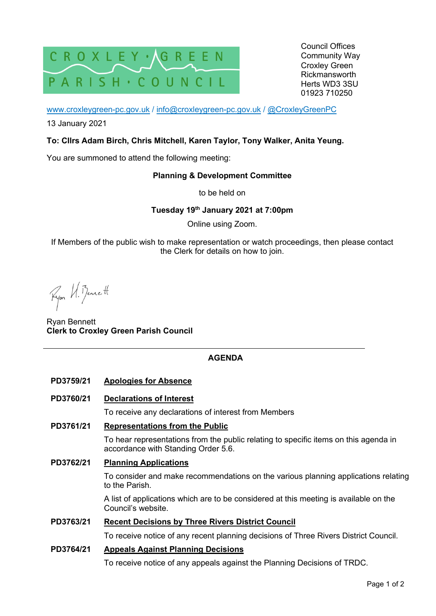

Council Offices Community Way Croxley Green Rickmansworth Herts WD3 3SU 01923 710250

www.croxleygreen-pc.gov.uk / info@croxleygreen-pc.gov.uk / @CroxleyGreenPC

13 January 2021

### **To: Cllrs Adam Birch, Chris Mitchell, Karen Taylor, Tony Walker, Anita Yeung.**

You are summoned to attend the following meeting:

# **Planning & Development Committee**

to be held on

#### **Tuesday 19th January 2021 at 7:00pm**

Online using Zoom.

If Members of the public wish to make representation or watch proceedings, then please contact the Clerk for details on how to join.

Ryon U. Benett

Ryan Bennett **Clerk to Croxley Green Parish Council** 

# **AGENDA**

#### **PD3759/21 Apologies for Absence**

**PD3760/21 Declarations of Interest** 

To receive any declarations of interest from Members

#### **PD3761/21 Representations from the Public**

To hear representations from the public relating to specific items on this agenda in accordance with Standing Order 5.6.

**PD3762/21 Planning Applications** 

To consider and make recommendations on the various planning applications relating to the Parish.

A list of applications which are to be considered at this meeting is available on the Council's website.

#### **PD3763/21 Recent Decisions by Three Rivers District Council**

To receive notice of any recent planning decisions of Three Rivers District Council.

# **PD3764/21 Appeals Against Planning Decisions**

To receive notice of any appeals against the Planning Decisions of TRDC.